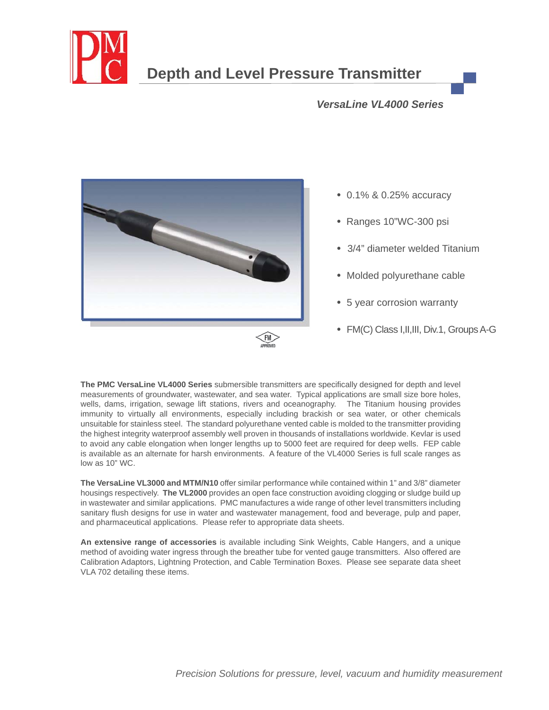

# **Depth and Level Pressure Transmitter**

### *LT and LT/SAN Series VersaLine VL4000 Series*



- **•** 0.1% & 0.25% accuracy
- Ranges 10"WC-300 psi
- **•** 3/4" diameter welded Titanium
- Molded polyurethane cable
- **•** 5 year corrosion warranty
- FM(C) Class I,II,III, Div.1, Groups A-G

The PMC VersaLine VL4000 Series submersible transmitters are specifically designed for depth and level measurements of groundwater, wastewater, and sea water. Typical applications are small size bore holes, wells, dams, irrigation, sewage lift stations, rivers and oceanography. The Titanium housing provides immunity to virtually all environments, especially including brackish or sea water, or other chemicals unsuitable for stainless steel. The standard polyurethane vented cable is molded to the transmitter providing the highest integrity waterproof assembly well proven in thousands of installations worldwide. Kevlar is used to avoid any cable elongation when longer lengths up to 5000 feet are required for deep wells. FEP cable is available as an alternate for harsh environments. A feature of the VL4000 Series is full scale ranges as low as 10" WC.

**The VersaLine VL3000 and MTM/N10** offer similar performance while contained within 1" and 3/8" diameter housings respectively. **The VL2000** provides an open face construction avoiding clogging or sludge build up in wastewater and similar applications. PMC manufactures a wide range of other level transmitters including sanitary flush designs for use in water and wastewater management, food and beverage, pulp and paper, and pharmaceutical applications. Please refer to appropriate data sheets.

**An extensive range of accessories** is available including Sink Weights, Cable Hangers, and a unique method of avoiding water ingress through the breather tube for vented gauge transmitters. Also offered are Calibration Adaptors, Lightning Protection, and Cable Termination Boxes. Please see separate data sheet VLA 702 detailing these items.